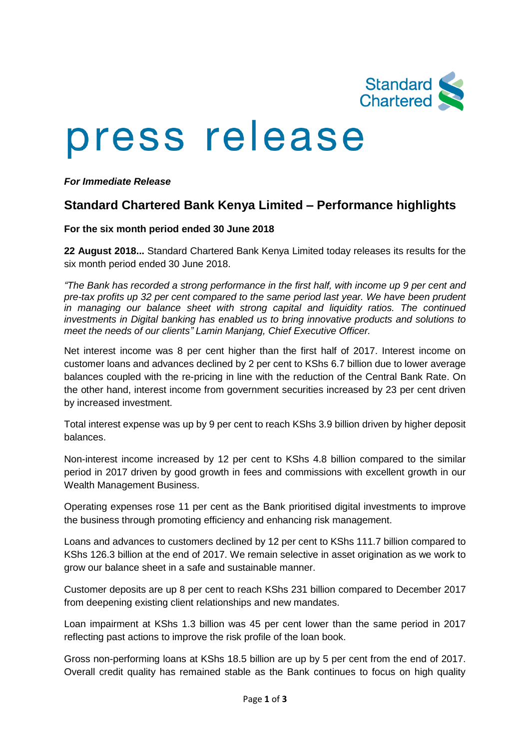

# press release

#### *For Immediate Release*

# **Standard Chartered Bank Kenya Limited – Performance highlights**

#### **For the six month period ended 30 June 2018**

**22 August 2018...** Standard Chartered Bank Kenya Limited today releases its results for the six month period ended 30 June 2018.

*"The Bank has recorded a strong performance in the first half, with income up 9 per cent and pre-tax profits up 32 per cent compared to the same period last year. We have been prudent in managing our balance sheet with strong capital and liquidity ratios. The continued investments in Digital banking has enabled us to bring innovative products and solutions to meet the needs of our clients" Lamin Manjang, Chief Executive Officer.*

Net interest income was 8 per cent higher than the first half of 2017. Interest income on customer loans and advances declined by 2 per cent to KShs 6.7 billion due to lower average balances coupled with the re-pricing in line with the reduction of the Central Bank Rate. On the other hand, interest income from government securities increased by 23 per cent driven by increased investment.

Total interest expense was up by 9 per cent to reach KShs 3.9 billion driven by higher deposit balances.

Non-interest income increased by 12 per cent to KShs 4.8 billion compared to the similar period in 2017 driven by good growth in fees and commissions with excellent growth in our Wealth Management Business.

Operating expenses rose 11 per cent as the Bank prioritised digital investments to improve the business through promoting efficiency and enhancing risk management.

Loans and advances to customers declined by 12 per cent to KShs 111.7 billion compared to KShs 126.3 billion at the end of 2017. We remain selective in asset origination as we work to grow our balance sheet in a safe and sustainable manner.

Customer deposits are up 8 per cent to reach KShs 231 billion compared to December 2017 from deepening existing client relationships and new mandates.

Loan impairment at KShs 1.3 billion was 45 per cent lower than the same period in 2017 reflecting past actions to improve the risk profile of the loan book.

Gross non-performing loans at KShs 18.5 billion are up by 5 per cent from the end of 2017. Overall credit quality has remained stable as the Bank continues to focus on high quality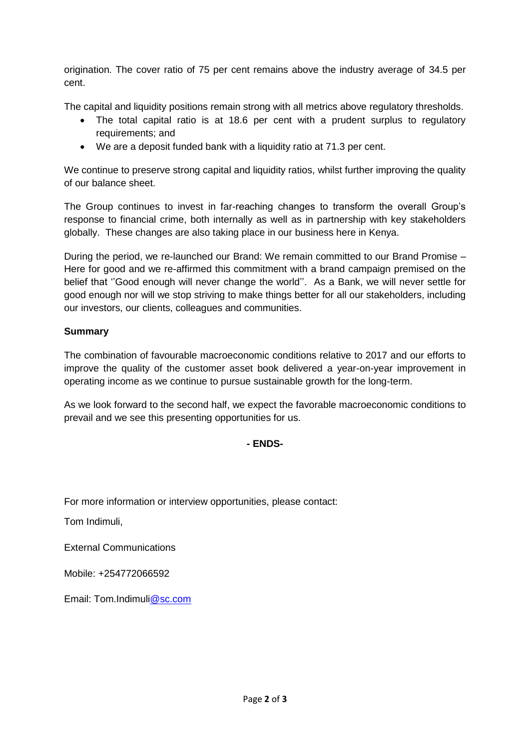origination. The cover ratio of 75 per cent remains above the industry average of 34.5 per cent.

The capital and liquidity positions remain strong with all metrics above regulatory thresholds.

- The total capital ratio is at 18.6 per cent with a prudent surplus to regulatory requirements; and
- We are a deposit funded bank with a liquidity ratio at 71.3 per cent.

We continue to preserve strong capital and liquidity ratios, whilst further improving the quality of our balance sheet.

The Group continues to invest in far-reaching changes to transform the overall Group's response to financial crime, both internally as well as in partnership with key stakeholders globally. These changes are also taking place in our business here in Kenya.

During the period, we re-launched our Brand: We remain committed to our Brand Promise – Here for good and we re-affirmed this commitment with a brand campaign premised on the belief that ''Good enough will never change the world''. As a Bank, we will never settle for good enough nor will we stop striving to make things better for all our stakeholders, including our investors, our clients, colleagues and communities.

### **Summary**

The combination of favourable macroeconomic conditions relative to 2017 and our efforts to improve the quality of the customer asset book delivered a year-on-year improvement in operating income as we continue to pursue sustainable growth for the long-term.

As we look forward to the second half, we expect the favorable macroeconomic conditions to prevail and we see this presenting opportunities for us.

## **- ENDS-**

For more information or interview opportunities, please contact:

Tom Indimuli,

External Communications

Mobile: +254772066592

Email: Tom.Indimu[li@sc.com](mailto:wasim.benkhadra@sc.com)